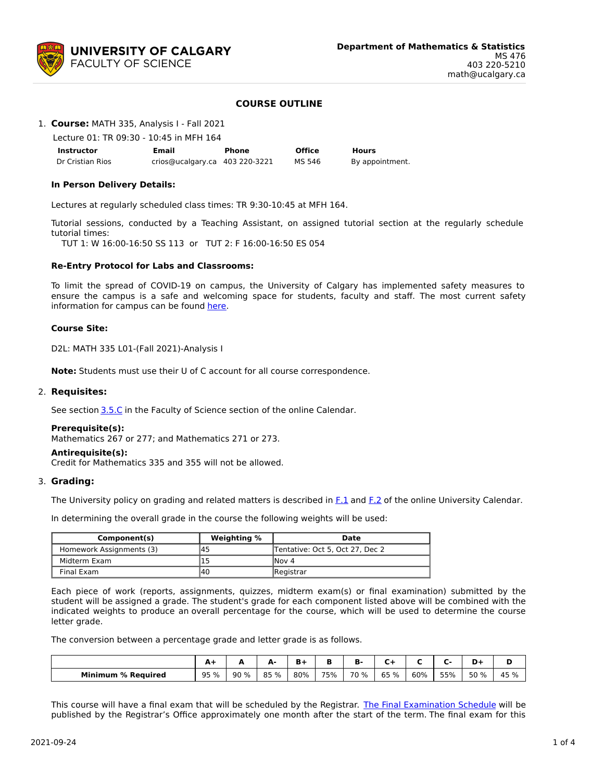

## **COURSE OUTLINE**

1. **Course:** MATH 335, Analysis I - Fall 2021

Lecture 01: TR 09:30 - 10:45 in MFH 164

| <b>Instructor</b> | Email                          | Phone | <b>Office</b> | <b>Hours</b>    |
|-------------------|--------------------------------|-------|---------------|-----------------|
| Dr Cristian Rios  | crios@ucalgary.ca 403 220-3221 |       | MS 546        | By appointment. |

### **In Person Delivery Details:**

Lectures at regularly scheduled class times: TR 9:30-10:45 at MFH 164.

Tutorial sessions, conducted by a Teaching Assistant, on assigned tutorial section at the regularly schedule tutorial times:

TUT 1: W 16:00-16:50 SS 113 or TUT 2: F 16:00-16:50 ES 054

### **Re-Entry Protocol for Labs and Classrooms:**

To limit the spread of COVID-19 on campus, the University of Calgary has implemented safety measures to ensure the campus is a safe and welcoming space for students, faculty and staff. The most current safety information for campus can be found [here](https://www.ucalgary.ca/risk/emergency-management/covid-19-response/return-campus-safety).

### **Course Site:**

D2L: MATH 335 L01-(Fall 2021)-Analysis I

**Note:** Students must use their U of C account for all course correspondence.

### 2. **Requisites:**

See section [3.5.C](http://www.ucalgary.ca/pubs/calendar/current/sc-3-5.html) in the Faculty of Science section of the online Calendar.

### **Prerequisite(s):**

Mathematics 267 or 277; and Mathematics 271 or 273.

### **Antirequisite(s):**

Credit for Mathematics 335 and 355 will not be allowed.

### 3. **Grading:**

The University policy on grading and related matters is described in [F.1](http://www.ucalgary.ca/pubs/calendar/current/f-1.html) and [F.2](http://www.ucalgary.ca/pubs/calendar/current/f-2.html) of the online University Calendar.

In determining the overall grade in the course the following weights will be used:

| Component(s)             | <b>Weighting %</b> | Date                            |  |  |  |  |
|--------------------------|--------------------|---------------------------------|--|--|--|--|
| Homework Assignments (3) | 145                | Tentative: Oct 5, Oct 27, Dec 2 |  |  |  |  |
| Midterm Exam             |                    | INov 4                          |  |  |  |  |
| Final Exam               | 140                | Registrar                       |  |  |  |  |

Each piece of work (reports, assignments, quizzes, midterm exam(s) or final examination) submitted by the student will be assigned a grade. The student's grade for each component listed above will be combined with the indicated weights to produce an overall percentage for the course, which will be used to determine the course letter grade.

The conversion between a percentage grade and letter grade is as follows.

|                           | . .  |      | а.<br>- | B+  |     | в.           |         |     | -<br>- - | D-l  |      |
|---------------------------|------|------|---------|-----|-----|--------------|---------|-----|----------|------|------|
| <b>Minimum % Required</b> | 95 % | 90 % | 85 %    | 80% | 75% | 70<br>%<br>ັ | 65<br>% | 60% | 55%      | 50 % | 45 % |

This course will have a final exam that will be scheduled by the Registrar. The Final [Examination](https://www.ucalgary.ca/registrar/exams) Schedule will be published by the Registrar's Office approximately one month after the start of the term. The final exam for this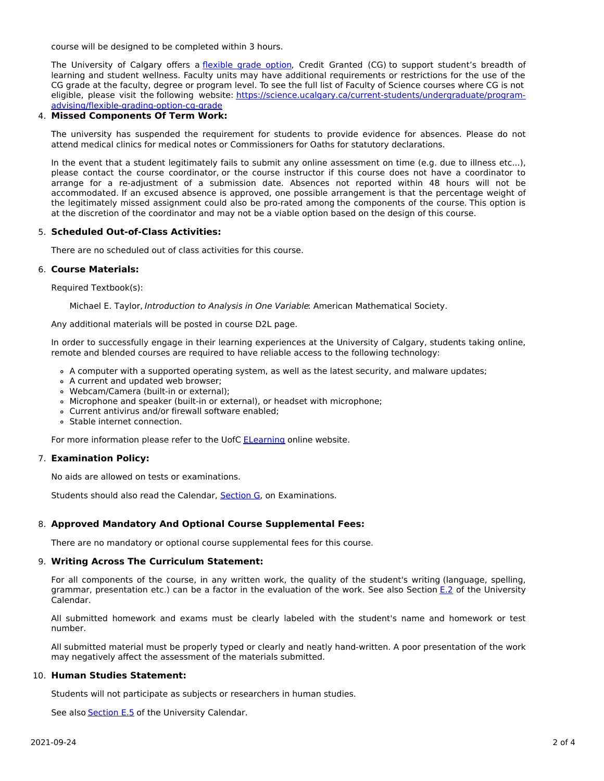course will be designed to be completed within 3 hours.

The University of Calgary offers a [flexible](https://www.ucalgary.ca/pubs/calendar/current/f-1-3.html) grade option, Credit Granted (CG) to support student's breadth of learning and student wellness. Faculty units may have additional requirements or restrictions for the use of the CG grade at the faculty, degree or program level. To see the full list of Faculty of Science courses where CG is not eligible, please visit the following website: [https://science.ucalgary.ca/current-students/undergraduate/program](https://science.ucalgary.ca/current-students/undergraduate/program-advising/flexible-grading-option-cg-grade)advising/flexible-grading-option-cg-grade

# 4. **Missed Components Of Term Work:**

The university has suspended the requirement for students to provide evidence for absences. Please do not attend medical clinics for medical notes or Commissioners for Oaths for statutory declarations.

In the event that a student legitimately fails to submit any online assessment on time (e.g. due to illness etc...), please contact the course coordinator, or the course instructor if this course does not have a coordinator to arrange for a re-adjustment of a submission date. Absences not reported within 48 hours will not be accommodated. If an excused absence is approved, one possible arrangement is that the percentage weight of the legitimately missed assignment could also be pro-rated among the components of the course. This option is at the discretion of the coordinator and may not be a viable option based on the design of this course.

### 5. **Scheduled Out-of-Class Activities:**

There are no scheduled out of class activities for this course.

### 6. **Course Materials:**

Required Textbook(s):

Michael E. Taylor, Introduction to Analysis in One Variable: American Mathematical Society.

Any additional materials will be posted in course D2L page.

In order to successfully engage in their learning experiences at the University of Calgary, students taking online, remote and blended courses are required to have reliable access to the following technology:

- A computer with a supported operating system, as well as the latest security, and malware updates;
- A current and updated web browser;
- Webcam/Camera (built-in or external);
- Microphone and speaker (built-in or external), or headset with microphone;
- Current antivirus and/or firewall software enabled;
- Stable internet connection.

For more information please refer to the UofC [ELearning](https://elearn.ucalgary.ca/technology-requirements-for-students) online website.

## 7. **Examination Policy:**

No aids are allowed on tests or examinations.

Students should also read the Calendar, [Section](http://www.ucalgary.ca/pubs/calendar/current/g.html) G, on Examinations.

## 8. **Approved Mandatory And Optional Course Supplemental Fees:**

There are no mandatory or optional course supplemental fees for this course.

## 9. **Writing Across The Curriculum Statement:**

For all components of the course, in any written work, the quality of the student's writing (language, spelling, grammar, presentation etc.) can be a factor in the evaluation of the work. See also Section [E.2](http://www.ucalgary.ca/pubs/calendar/current/e-2.html) of the University Calendar.

All submitted homework and exams must be clearly labeled with the student's name and homework or test number.

All submitted material must be properly typed or clearly and neatly hand-written. A poor presentation of the work may negatively affect the assessment of the materials submitted.

## 10. **Human Studies Statement:**

Students will not participate as subjects or researchers in human studies.

See also [Section](http://www.ucalgary.ca/pubs/calendar/current/e-5.html) E.5 of the University Calendar.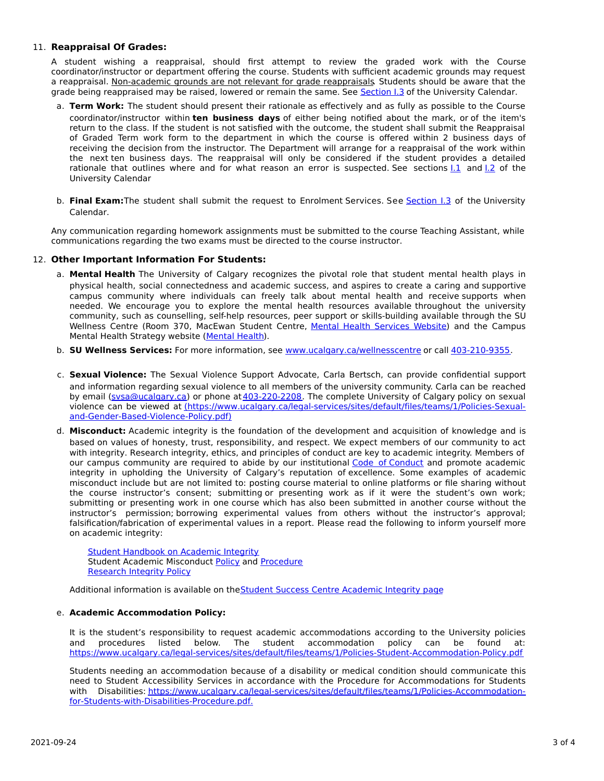## 11. **Reappraisal Of Grades:**

A student wishing a reappraisal, should first attempt to review the graded work with the Course coordinator/instructor or department offering the course. Students with sufficient academic grounds may request a reappraisal. Non-academic grounds are not relevant for grade reappraisals. Students should be aware that the grade being reappraised may be raised, lowered or remain the same. See [Section](http://www.ucalgary.ca/pubs/calendar/current/i-3.html) I.3 of the University Calendar.

- a. **Term Work:** The student should present their rationale as effectively and as fully as possible to the Course coordinator/instructor within **ten business days** of either being notified about the mark, or of the item's return to the class. If the student is not satisfied with the outcome, the student shall submit the Reappraisal of Graded Term work form to the department in which the course is offered within 2 business days of receiving the decision from the instructor. The Department will arrange for a reappraisal of the work within the next ten business days. The reappraisal will only be considered if the student provides a detailed rationale that outlines where and for what reason an error is suspected. See sections  $1.1$  and  $1.2$  of the University Calendar
- b. **Final Exam:**The student shall submit the request to Enrolment Services. See [Section](http://www.ucalgary.ca/pubs/calendar/current/i-3.html) I.3 of the University Calendar.

Any communication regarding homework assignments must be submitted to the course Teaching Assistant, while communications regarding the two exams must be directed to the course instructor.

## 12. **Other Important Information For Students:**

- a. **Mental Health** The University of Calgary recognizes the pivotal role that student mental health plays in physical health, social connectedness and academic success, and aspires to create a caring and supportive campus community where individuals can freely talk about mental health and receive supports when needed. We encourage you to explore the mental health resources available throughout the university community, such as counselling, self-help resources, peer support or skills-building available through the SU Wellness Centre (Room 370, MacEwan Student Centre, Mental Health [Services](https://www.ucalgary.ca/wellnesscentre/services/mental-health-services) Website) and the Campus Mental Health Strategy website [\(Mental](http://www.ucalgary.ca/mentalhealth) Health).
- b. **SU Wellness Services:** For more information, see [www.ucalgary.ca/wellnesscentre](http://www.ucalgary.ca/wellnesscentre) or call [403-210-9355.](tel:4032109355)
- c. **Sexual Violence:** The Sexual Violence Support Advocate, Carla Bertsch, can provide confidential support and information regarding sexual violence to all members of the university community. Carla can be reached by email [\(svsa@ucalgary.ca](mailto:svsa@ucalgary.ca)) or phone at [403-220-2208](tel:4032202208). The complete University of Calgary policy on sexual violence can be viewed at [\(https://www.ucalgary.ca/legal-services/sites/default/files/teams/1/Policies-Sexual](https://www.ucalgary.ca/legal-services/sites/default/files/teams/1/Policies-Sexual-and-Gender-Based-Violence-Policy.pdf)and-Gender-Based-Violence-Policy.pdf)
- d. **Misconduct:** Academic integrity is the foundation of the development and acquisition of knowledge and is based on values of honesty, trust, responsibility, and respect. We expect members of our community to act with integrity. Research integrity, ethics, and principles of conduct are key to academic integrity. Members of our campus community are required to abide by our institutional Code of [Conduct](https://www.ucalgary.ca/legal-services/sites/default/files/teams/1/Policies-Code-of-Conduct.pdf) and promote academic integrity in upholding the University of Calgary's reputation of excellence. Some examples of academic misconduct include but are not limited to: posting course material to online platforms or file sharing without the course instructor's consent; submitting or presenting work as if it were the student's own work; submitting or presenting work in one course which has also been submitted in another course without the instructor's permission; borrowing experimental values from others without the instructor's approval; falsification/fabrication of experimental values in a report. Please read the following to inform yourself more on academic integrity:

Student [Handbook](https://www.ucalgary.ca/live-uc-ucalgary-site/sites/default/files/teams/9/AI-Student-handbook-1.pdf) on Academic Integrity Student Academic Misconduct [Policy](https://www.ucalgary.ca/legal-services/sites/default/files/teams/1/Policies-Student-Academic-Misconduct-Policy.pdf) and [Procedure](https://www.ucalgary.ca/legal-services/sites/default/files/teams/1/Policies-Student-Academic-Misconduct-Procedure.pdf) [Research](https://www.ucalgary.ca/legal-services/sites/default/files/teams/1/Policies-Research-Integrity-Policy.pdf) Integrity Policy

Additional information is available on the Student Success Centre [Academic](https://ucalgary.ca/student-services/student-success/learning/academic-integrity) Integrity page

## e. **Academic Accommodation Policy:**

It is the student's responsibility to request academic accommodations according to the University policies and procedures listed below. The student accommodation policy can be found at: <https://www.ucalgary.ca/legal-services/sites/default/files/teams/1/Policies-Student-Accommodation-Policy.pdf>

Students needing an accommodation because of a disability or medical condition should communicate this need to Student Accessibility Services in accordance with the Procedure for Accommodations for Students with Disabilities: [https://www.ucalgary.ca/legal-services/sites/default/files/teams/1/Policies-Accommodation](https://www.ucalgary.ca/legal-services/sites/default/files/teams/1/Policies-Accommodation-for-Students-with-Disabilities-Procedure.pdf)for-Students-with-Disabilities-Procedure.pdf.